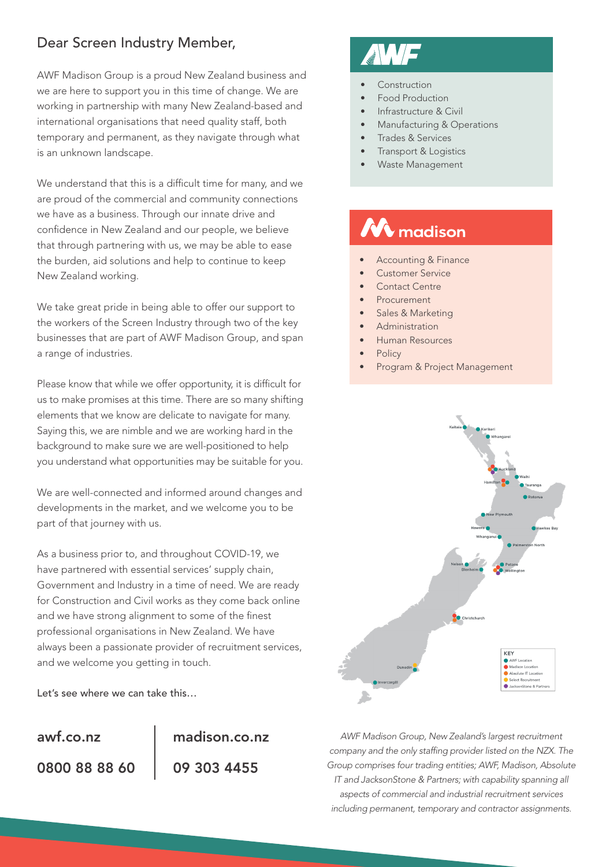# Dear Screen Industry Member,

AWF Madison Group is a proud New Zealand business and we are here to support you in this time of change. We are working in partnership with many New Zealand-based and international organisations that need quality staff, both temporary and permanent, as they navigate through what is an unknown landscape.

We understand that this is a difficult time for many, and we are proud of the commercial and community connections we have as a business. Through our innate drive and confidence in New Zealand and our people, we believe that through partnering with us, we may be able to ease the burden, aid solutions and help to continue to keep New Zealand working.

We take great pride in being able to offer our support to the workers of the Screen Industry through two of the key businesses that are part of AWF Madison Group, and span a range of industries.

Please know that while we offer opportunity, it is difficult for us to make promises at this time. There are so many shifting elements that we know are delicate to navigate for many. Saying this, we are nimble and we are working hard in the background to make sure we are well-positioned to help you understand what opportunities may be suitable for you.

We are well-connected and informed around changes and developments in the market, and we welcome you to be part of that journey with us.

As a business prior to, and throughout COVID-19, we have partnered with essential services' supply chain, Government and Industry in a time of need. We are ready for Construction and Civil works as they come back online and we have strong alignment to some of the finest professional organisations in New Zealand. We have always been a passionate provider of recruitment services, and we welcome you getting in touch.

Let's see where we can take this…

0800 88 88 60 [awf.co.nz](http://www.awf.co.nz)

09 303 4455 [madison.co.nz](http://www.madison.co.nz)

- Construction
- Food Production
- Infrastructure & Civil
- Manufacturing & Operations
- Trades & Services
- Transport & Logistics
- Waste Management

# $\Lambda$  madison

- Accounting & Finance
- Customer Service
- Contact Centre
- **Procurement**
- Sales & Marketing
- Administration
- Human Resources
- **Policy**
- Program & Project Management



*AWF Madison Group, New Zealand's largest recruitment company and the only staffing provider listed on the NZX. The Group comprises four trading entities; AWF, Madison, Absolute IT and JacksonStone & Partners; with capability spanning all aspects of commercial and industrial recruitment services including permanent, temporary and contractor assignments.*